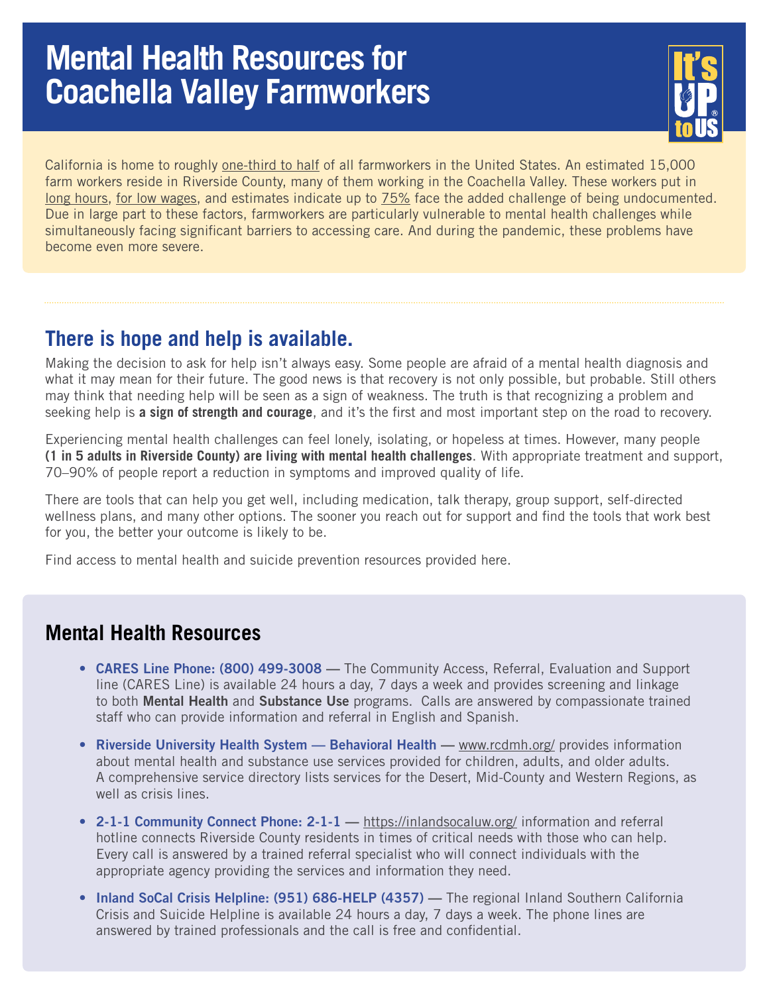## **Mental Health Resources for Coachella Valley Farmworkers**



California is home to roughly [one-third to half](https://farmworkerfamily.org/information#:~:text=Between%201%2F3%20and%201,83%25%20in%20Santa%20Cruz%20County.) of all farmworkers in the United States. An estimated 15,000 farm workers reside in Riverside County, many of them working in the Coachella Valley. These workers put in [long hours,](https://farmandanimals.com/how-many-hours-do-farmers-work/) [for low wages,](https://downloads.usda.library.cornell.edu/usda-esmis/files/x920fw89s/p5548t195/qb98ng22n/fmla1121.pdf) and estimates indicate up to [75%](https://farmworkerfamily.org/information#:~:text=Between%201%2F3%20and%201,83%25%20in%20Santa%20Cruz%20County.) face the added challenge of being undocumented. Due in large part to these factors, farmworkers are particularly vulnerable to mental health challenges while simultaneously facing significant barriers to accessing care. And during the pandemic, these problems have become even more severe.

## **There is hope and help is available.**

Making the decision to ask for help isn't always easy. Some people are afraid of a mental health diagnosis and what it may mean for their future. The good news is that recovery is not only possible, but probable. Still others may think that needing help will be seen as a sign of weakness. The truth is that recognizing a problem and seeking help is **a sign of strength and courage**, and it's the first and most important step on the road to recovery.

Experiencing mental health challenges can feel lonely, isolating, or hopeless at times. However, many people **(1 in 5 adults in Riverside County) are living with mental health challenges**. With appropriate treatment and support, 70–90% of people report a reduction in symptoms and improved quality of life.

There are tools that can help you get well, including medication, talk therapy, group support, self-directed wellness plans, and many other options. The sooner you reach out for support and find the tools that work best for you, the better your outcome is likely to be.

Find access to mental health and suicide prevention resources provided here.

## **Mental Health Resources**

- CARES Line Phone: (800) 499-3008 The Community Access, Referral, Evaluation and Support line (CARES Line) is available 24 hours a day, 7 days a week and provides screening and linkage to both Mental Health and Substance Use programs. Calls are answered by compassionate trained staff who can provide information and referral in English and Spanish.
- Riverside University Health System Behavioral Health [www.rcdmh.org/ provides](http://www.rcdmh.org/) information about mental health and substance use services provided for children, adults, and older adults. A comprehensive service directory lists services for the Desert, Mid-County and Western Regions, as well as crisis lines.
- 2-1-1 Community Connect Phone: 2-1-1 <https://inlandsocaluw.org/>information and referral hotline connects Riverside County residents in times of critical needs with those who can help. Every call is answered by a trained referral specialist who will connect individuals with the appropriate agency providing the services and information they need.
- Inland SoCal Crisis Helpline: (951) 686-HELP (4357) The regional Inland Southern California Crisis and Suicide Helpline is available 24 hours a day, 7 days a week. The phone lines are answered by trained professionals and the call is free and confidential.